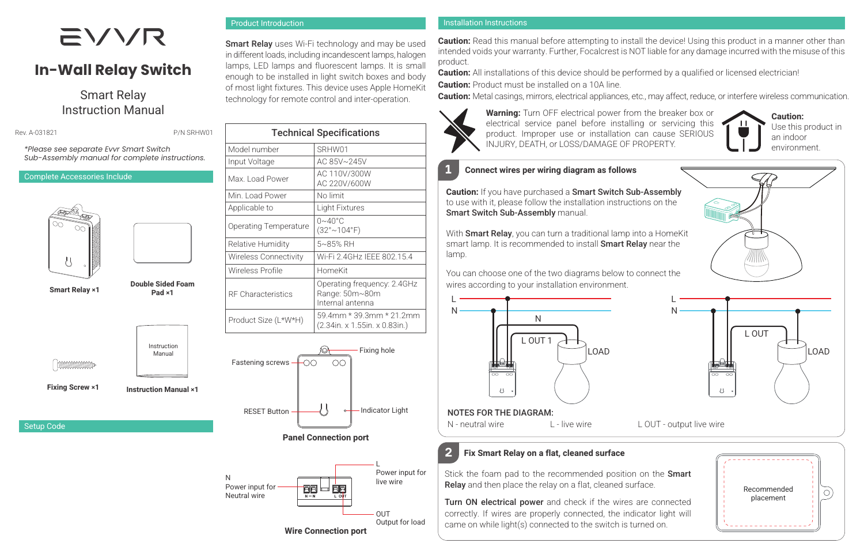# **EVVR**

# **In-Wall Relay Switch**

## Smart Relay Instruction Manual

**Rev. 4-031821 P/N SRHW01** 

Product Introduction

Smart Relay uses Wi-Fi technology and may be used in different loads, including incandescent lamps, halogen lamps, LED lamps and fluorescent lamps. It is small enough to be installed in light switch boxes and body of most light fixtures. This device uses Apple HomeKit technology for remote control and inter-operation.

Technical Specifications

AC 220V/600W

(32°~104°F)

Operating frequency: 2.4GHz Range: 50m~80m Internal antenna

Wireless Connectivity | Wi-Fi 2.4GHz IEEE 802.15.4

Model number SRHW01 Input Voltage AC 85V~245V Max. Load Power AC 110V/300W

Min. Load Power No limit Applicable to **Light Fixtures** Operating Temperature  $\begin{bmatrix} 0 & -40 \\ 0 & 10 \end{bmatrix}$ 

Relative Humidity 5~85% RH

Wireless Profile | HomeKit

RF Characteristics

*\*Please see separate Evvr Smart Switch Sub-Assembly manual for complete instructions.*

#### Complete Accessories Include



Smart Relay ×1



l bananananana

Fixing Screw ×1

Setup Code



Double Sided Foam



Instruction Manual

Instruction Manual ×1

Product Size (L\*W\*H) 59.4mm \* 39.3mm \* 21.2mm (2.34in. x 1.55in. x 0.83in.) Fixing hole Fastening screws  $\Omega$ ⊢ററ Indicator Light RESET Button

Panel Connection port



#### Installation Instructions

**Caution:** Read this manual before attempting to install the device! Using this product in a manner other than intended voids your warranty. Further, Focalcrest is NOT liable for any damage incurred with the misuse of this product.

**Caution:** All installations of this device should be performed by a qualified or licensed electrician! **Caution:** Product must be installed on a 10A line.

Caution: Metal casings, mirrors, electrical appliances, etc., may affect, reduce, or interfere wireless communication.



N

L

Warning: Turn OFF electrical power from the breaker box or electrical service panel before installing or servicing this product. Improper use or installation can cause SERIOUS INJURY, DEATH, or LOSS/DAMAGE OF PROPERTY.



#### **1** Connect wires per wiring diagram as follows

Caution: If you have purchased a Smart Switch Sub-Assembly to use with it, please follow the installation instructions on the Smart Switch Sub-Assembly manual.

With Smart Relay, you can turn a traditional lamp into a HomeKit smart lamp. It is recommended to install **Smart Relay** near the lamp.

You can choose one of the two diagrams below to connect the wires according to your installation environment.





#### NOTES FOR THE DIAGRAM:

N - neutral wire L - live wire L OUT - output live wire

### **2** Fix Smart Relay on a flat, cleaned surface

Stick the foam pad to the recommended position on the **Smart** Relay and then place the relay on a flat, cleaned surface.

Turn ON electrical power and check if the wires are connected correctly. If wires are properly connected, the indicator light will came on while light(s) connected to the switch is turned on.